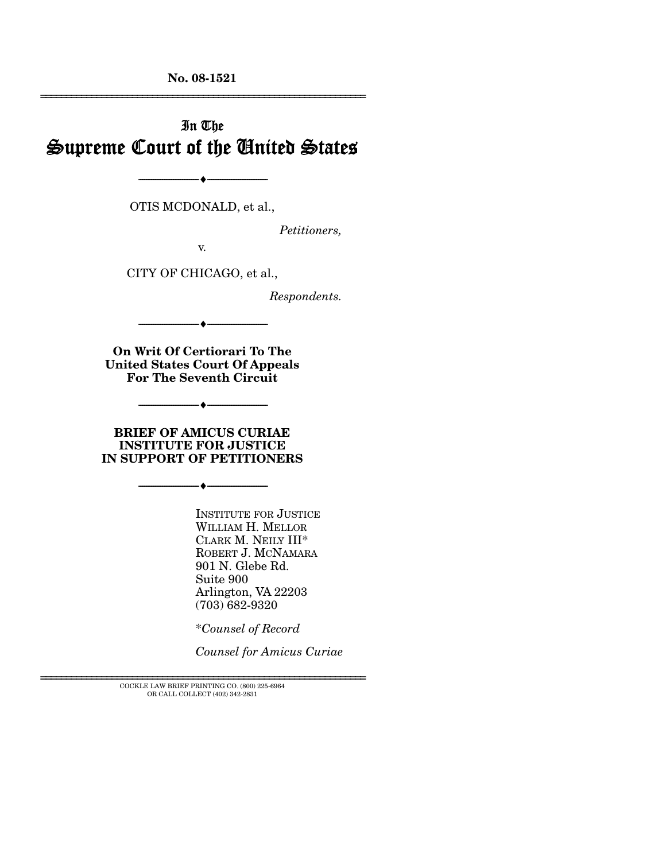**No. 08-1521**  ================================================================

# In The Supreme Court of the United States

OTIS MCDONALD, et al.,

--------------------------------- ♦ ---------------------------------

*Petitioners,* 

v.

CITY OF CHICAGO, et al.,

*Respondents.* 

**On Writ Of Certiorari To The United States Court Of Appeals For The Seventh Circuit** 

--------------------------------- ♦ ---------------------------------

--------------------------------- ♦ ---------------------------------

**BRIEF OF AMICUS CURIAE INSTITUTE FOR JUSTICE IN SUPPORT OF PETITIONERS**

--------------------------------- ♦ ---------------------------------

INSTITUTE FOR JUSTICE WILLIAM H. MELLOR CLARK M. NEILY III\* ROBERT J. MCNAMARA 901 N. Glebe Rd. Suite 900 Arlington, VA 22203 (703) 682-9320

\**Counsel of Record* 

*Counsel for Amicus Curiae* 

================================================================ COCKLE LAW BRIEF PRINTING CO. (800) 225-6964 OR CALL COLLECT (402) 342-2831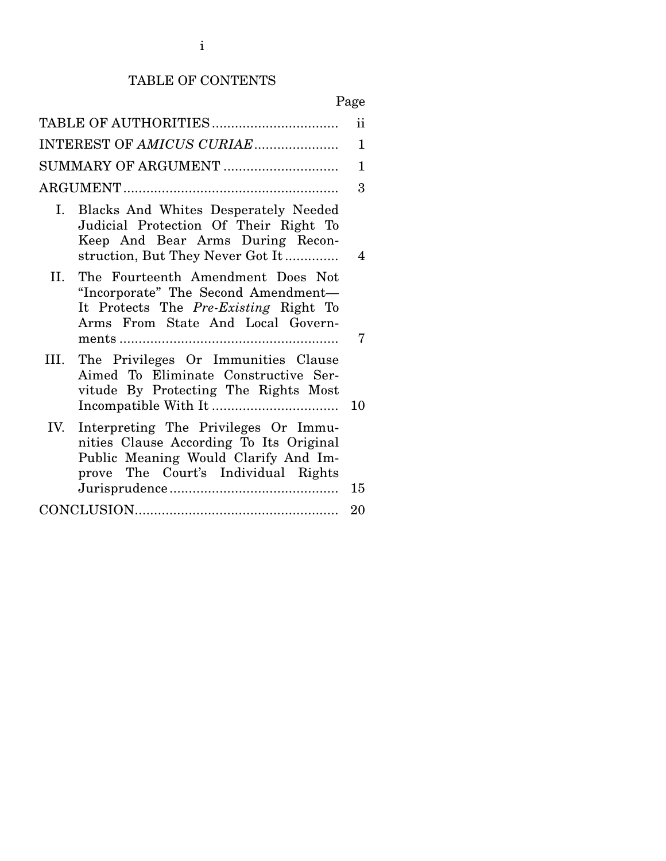# TABLE OF CONTENTS

# Page

|      | TABLE OF AUTHORITIES                                                                                                                                           | $\mathbf{ii}$ |
|------|----------------------------------------------------------------------------------------------------------------------------------------------------------------|---------------|
|      | INTEREST OF AMICUS CURIAE                                                                                                                                      | 1             |
|      | SUMMARY OF ARGUMENT                                                                                                                                            | 1             |
|      |                                                                                                                                                                | 3             |
|      | I. Blacks And Whites Desperately Needed<br>Judicial Protection Of Their Right To<br>Keep And Bear Arms During Recon-<br>struction, But They Never Got It       | 4             |
| II.  | The Fourteenth Amendment Does Not<br>"Incorporate" The Second Amendment-<br>It Protects The Pre-Existing Right To<br>Arms From State And Local Govern-         | 7             |
| III. | The Privileges Or Immunities Clause<br>Aimed To Eliminate Constructive Ser-<br>vitude By Protecting The Rights Most                                            | 10            |
| IV.  | Interpreting The Privileges Or Immu-<br>nities Clause According To Its Original<br>Public Meaning Would Clarify And Im-<br>prove The Court's Individual Rights | 15            |
|      |                                                                                                                                                                | 20            |
|      |                                                                                                                                                                |               |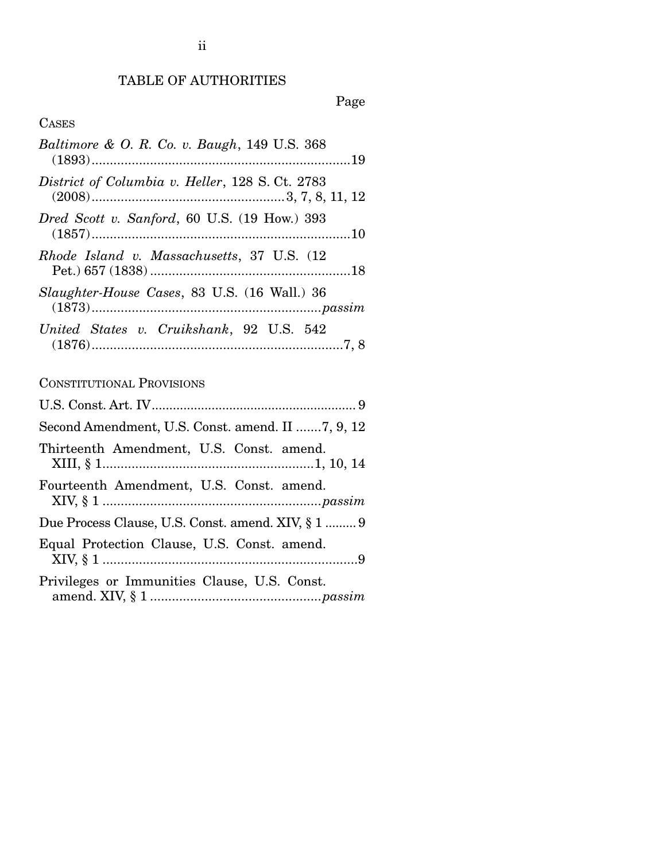# TABLE OF AUTHORITIES

Page

# CASES

| Baltimore & O. R. Co. v. Baugh, 149 U.S. 368    |
|-------------------------------------------------|
| District of Columbia v. Heller, 128 S. Ct. 2783 |
| Dred Scott v. Sanford, 60 U.S. (19 How.) 393    |
| Rhode Island v. Massachusetts, 37 U.S. (12)     |
| Slaughter-House Cases, 83 U.S. (16 Wall.) 36    |
| United States v. Cruikshank, 92 U.S. 542        |

## CONSTITUTIONAL PROVISIONS

| Second Amendment, U.S. Const. amend. II 7, 9, 12   |
|----------------------------------------------------|
| Thirteenth Amendment, U.S. Const. amend.           |
| Fourteenth Amendment, U.S. Const. amend.           |
| Due Process Clause, U.S. Const. amend. XIV, § 1  9 |
| Equal Protection Clause, U.S. Const. amend.        |
| Privileges or Immunities Clause, U.S. Const.       |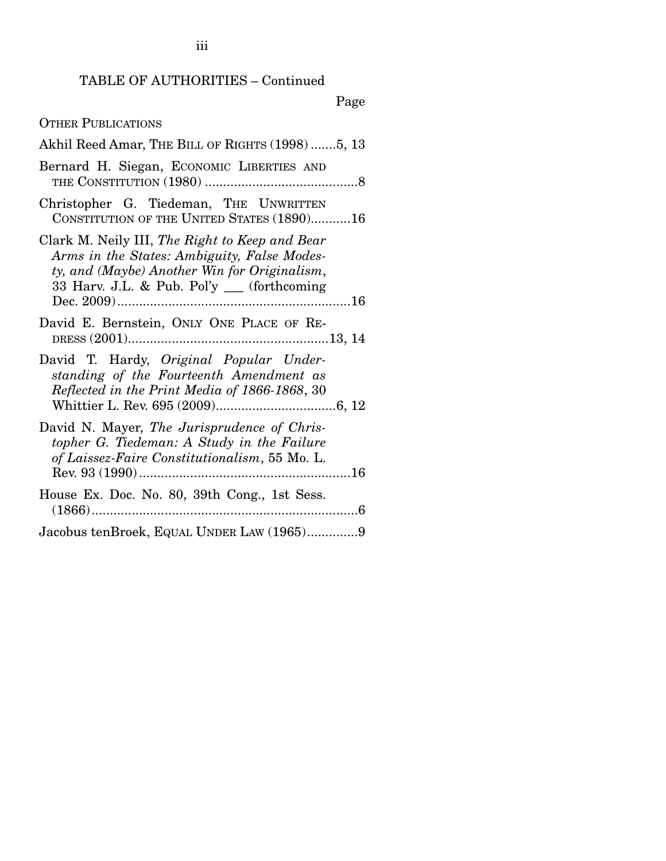### TABLE OF AUTHORITIES – Continued

#### Page

Akhil Reed Amar, THE BILL OF RIGHTS (1998) .......5, 13 Bernard H. Siegan, ECONOMIC LIBERTIES AND THE CONSTITUTION (1980) .......................................... 8 Christopher G. Tiedeman, THE UNWRITTEN CONSTITUTION OF THE UNITED STATES (1890)........... 16 Clark M. Neily III, *The Right to Keep and Bear Arms in the States: Ambiguity, False Modesty, and (Maybe) Another Win for Originalism*, 33 Harv. J.L. & Pub. Pol'y \_\_\_ (forthcoming Dec. 2009) ................................................................ 16 David E. Bernstein, ONLY ONE PLACE OF RE-DRESS (2001) ....................................................... 13, 14 David T. Hardy, *Original Popular Understanding of the Fourteenth Amendment as Reflected in the Print Media of 1866-1868*, 30 Whittier L. Rev. 695 (2009) ................................. 6, 12 David N. Mayer, *The Jurisprudence of Christopher G. Tiedeman: A Study in the Failure of Laissez-Faire Constitutionalism*, 55 Mo. L. Rev. 93 (1990) .......................................................... 16 House Ex. Doc. No. 80, 39th Cong., 1st Sess. (1866) ......................................................................... 6 Jacobus tenBroek, EQUAL UNDER LAW (1965) .............. 9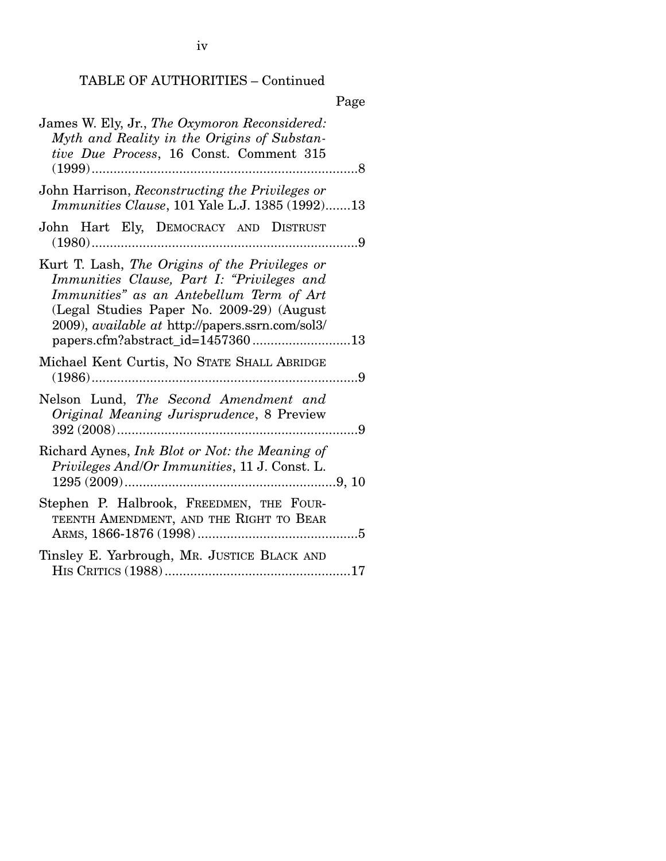iv

# TABLE OF AUTHORITIES – Continued

|--|

| James W. Ely, Jr., The Oxymoron Reconsidered:<br>Myth and Reality in the Origins of Substan-<br>tive Due Process, 16 Const. Comment 315<br>$(1999)$<br>.                                                                                                                             |
|--------------------------------------------------------------------------------------------------------------------------------------------------------------------------------------------------------------------------------------------------------------------------------------|
| John Harrison, Reconstructing the Privileges or<br>Immunities Clause, 101 Yale L.J. 1385 (1992)13                                                                                                                                                                                    |
| John Hart Ely, DEMOCRACY AND DISTRUST                                                                                                                                                                                                                                                |
| Kurt T. Lash, The Origins of the Privileges or<br>Immunities Clause, Part I: "Privileges and<br>Immunities" as an Antebellum Term of Art<br>(Legal Studies Paper No. 2009-29) (August<br>2009), <i>available at http://papers.ssrn.com/sol3/</i><br>papers.cfm?abstract_id=145736013 |
| Michael Kent Curtis, No STATE SHALL ABRIDGE<br>$(1986)$<br>. 9                                                                                                                                                                                                                       |
| Nelson Lund, The Second Amendment and<br>Original Meaning Jurisprudence, 8 Preview<br>$\overline{9}$                                                                                                                                                                                 |
| Richard Aynes, Ink Blot or Not: the Meaning of<br>Privileges And/Or Immunities, 11 J. Const. L.                                                                                                                                                                                      |
| Stephen P. Halbrook, FREEDMEN, THE FOUR-<br>TEENTH AMENDMENT, AND THE RIGHT TO BEAR                                                                                                                                                                                                  |
| Tinsley E. Yarbrough, MR. JUSTICE BLACK AND                                                                                                                                                                                                                                          |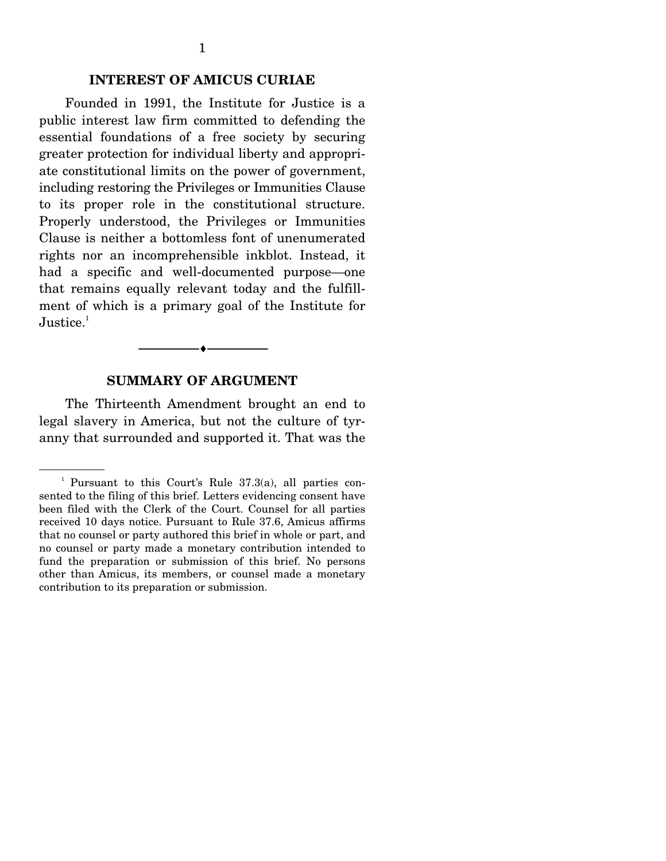### **INTEREST OF AMICUS CURIAE**

 Founded in 1991, the Institute for Justice is a public interest law firm committed to defending the essential foundations of a free society by securing greater protection for individual liberty and appropriate constitutional limits on the power of government, including restoring the Privileges or Immunities Clause to its proper role in the constitutional structure. Properly understood, the Privileges or Immunities Clause is neither a bottomless font of unenumerated rights nor an incomprehensible inkblot. Instead, it had a specific and well-documented purpose—one that remains equally relevant today and the fulfillment of which is a primary goal of the Institute for  $Justice.<sup>1</sup>$ 

#### **SUMMARY OF ARGUMENT**

--------------------------------- ♦ ---------------------------------

The Thirteenth Amendment brought an end to legal slavery in America, but not the culture of tyranny that surrounded and supported it. That was the

<sup>&</sup>lt;sup>1</sup> Pursuant to this Court's Rule 37.3(a), all parties consented to the filing of this brief. Letters evidencing consent have been filed with the Clerk of the Court. Counsel for all parties received 10 days notice. Pursuant to Rule 37.6, Amicus affirms that no counsel or party authored this brief in whole or part, and no counsel or party made a monetary contribution intended to fund the preparation or submission of this brief. No persons other than Amicus, its members, or counsel made a monetary contribution to its preparation or submission.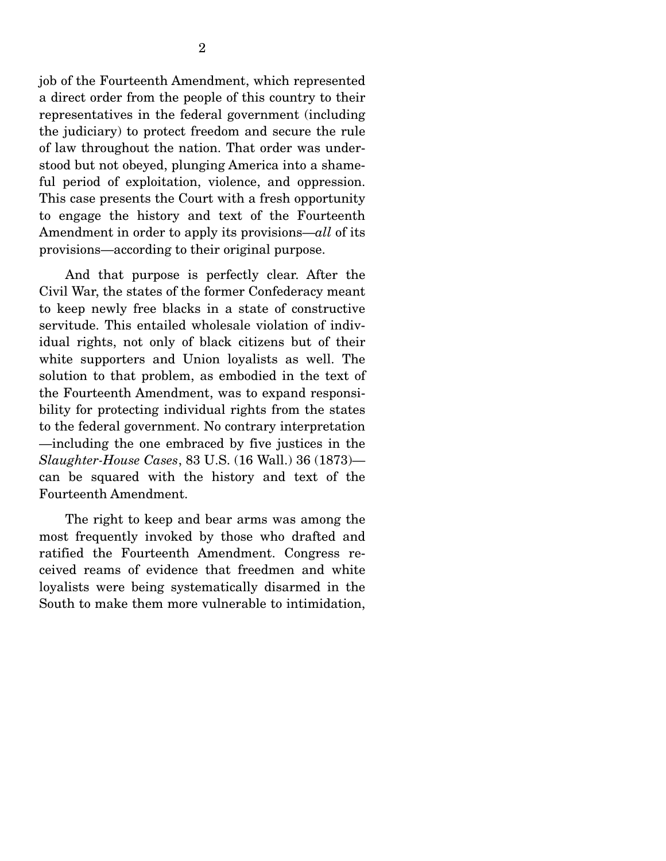job of the Fourteenth Amendment, which represented a direct order from the people of this country to their representatives in the federal government (including the judiciary) to protect freedom and secure the rule of law throughout the nation. That order was understood but not obeyed, plunging America into a shameful period of exploitation, violence, and oppression. This case presents the Court with a fresh opportunity to engage the history and text of the Fourteenth Amendment in order to apply its provisions—*all* of its provisions—according to their original purpose.

 And that purpose is perfectly clear. After the Civil War, the states of the former Confederacy meant to keep newly free blacks in a state of constructive servitude. This entailed wholesale violation of individual rights, not only of black citizens but of their white supporters and Union loyalists as well. The solution to that problem, as embodied in the text of the Fourteenth Amendment, was to expand responsibility for protecting individual rights from the states to the federal government. No contrary interpretation —including the one embraced by five justices in the *Slaughter-House Cases*, 83 U.S. (16 Wall.) 36 (1873) can be squared with the history and text of the Fourteenth Amendment.

 The right to keep and bear arms was among the most frequently invoked by those who drafted and ratified the Fourteenth Amendment. Congress received reams of evidence that freedmen and white loyalists were being systematically disarmed in the South to make them more vulnerable to intimidation,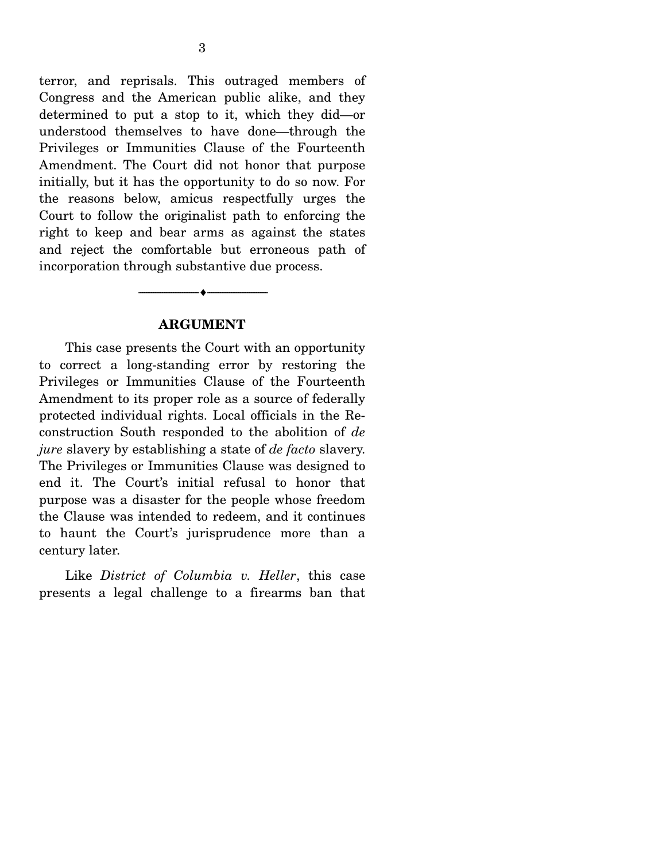terror, and reprisals. This outraged members of Congress and the American public alike, and they determined to put a stop to it, which they did—or understood themselves to have done—through the Privileges or Immunities Clause of the Fourteenth Amendment. The Court did not honor that purpose initially, but it has the opportunity to do so now. For the reasons below, amicus respectfully urges the Court to follow the originalist path to enforcing the right to keep and bear arms as against the states and reject the comfortable but erroneous path of incorporation through substantive due process.

### **ARGUMENT**

--------------------------------- ♦ ---------------------------------

This case presents the Court with an opportunity to correct a long-standing error by restoring the Privileges or Immunities Clause of the Fourteenth Amendment to its proper role as a source of federally protected individual rights. Local officials in the Reconstruction South responded to the abolition of *de jure* slavery by establishing a state of *de facto* slavery. The Privileges or Immunities Clause was designed to end it. The Court's initial refusal to honor that purpose was a disaster for the people whose freedom the Clause was intended to redeem, and it continues to haunt the Court's jurisprudence more than a century later.

 Like *District of Columbia v. Heller*, this case presents a legal challenge to a firearms ban that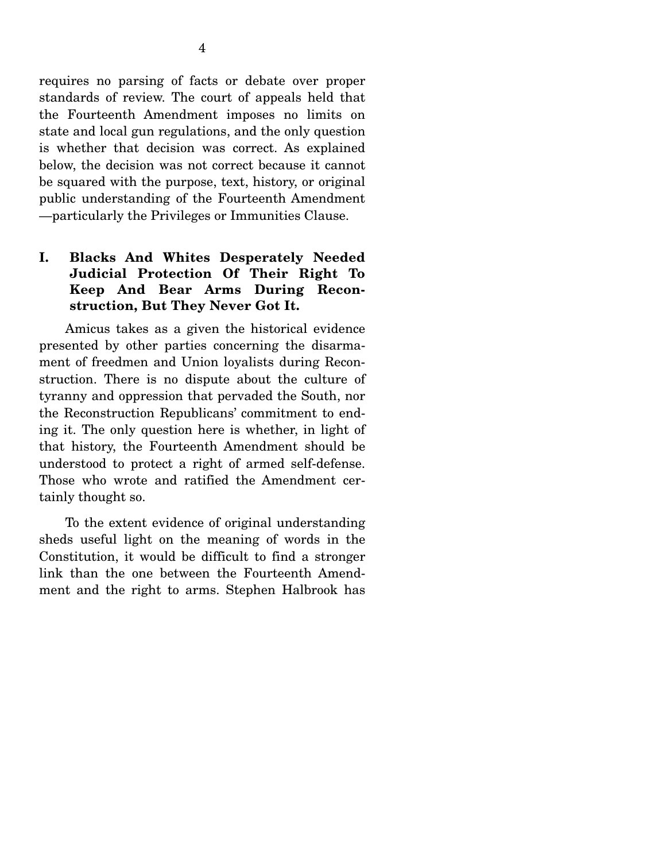requires no parsing of facts or debate over proper standards of review. The court of appeals held that the Fourteenth Amendment imposes no limits on state and local gun regulations, and the only question is whether that decision was correct. As explained below, the decision was not correct because it cannot be squared with the purpose, text, history, or original public understanding of the Fourteenth Amendment —particularly the Privileges or Immunities Clause.

## **I. Blacks And Whites Desperately Needed Judicial Protection Of Their Right To Keep And Bear Arms During Reconstruction, But They Never Got It.**

Amicus takes as a given the historical evidence presented by other parties concerning the disarmament of freedmen and Union loyalists during Reconstruction. There is no dispute about the culture of tyranny and oppression that pervaded the South, nor the Reconstruction Republicans' commitment to ending it. The only question here is whether, in light of that history, the Fourteenth Amendment should be understood to protect a right of armed self-defense. Those who wrote and ratified the Amendment certainly thought so.

 To the extent evidence of original understanding sheds useful light on the meaning of words in the Constitution, it would be difficult to find a stronger link than the one between the Fourteenth Amendment and the right to arms. Stephen Halbrook has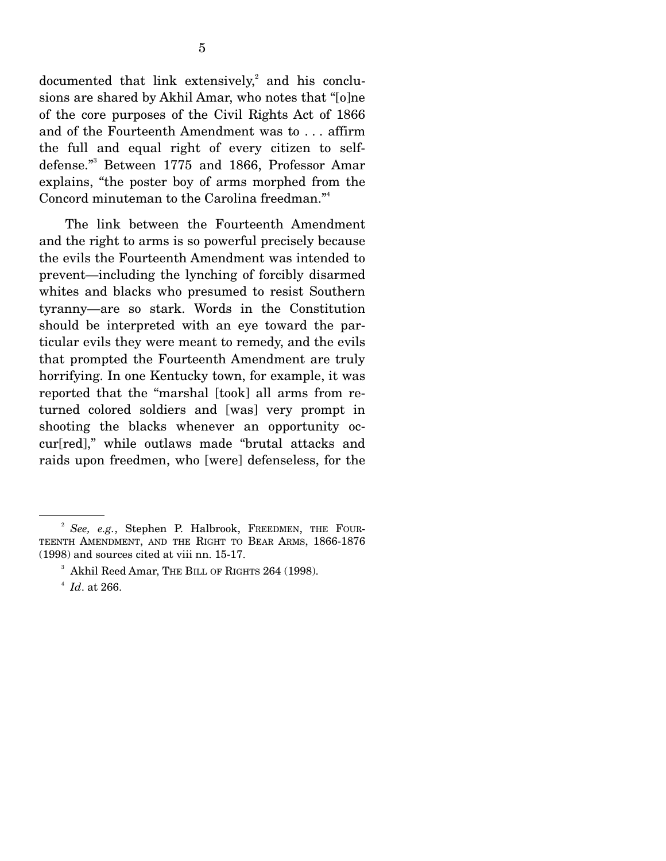documented that link extensively,<sup>2</sup> and his conclusions are shared by Akhil Amar, who notes that "[o]ne of the core purposes of the Civil Rights Act of 1866 and of the Fourteenth Amendment was to . . . affirm the full and equal right of every citizen to selfdefense."3 Between 1775 and 1866, Professor Amar explains, "the poster boy of arms morphed from the Concord minuteman to the Carolina freedman."4

 The link between the Fourteenth Amendment and the right to arms is so powerful precisely because the evils the Fourteenth Amendment was intended to prevent—including the lynching of forcibly disarmed whites and blacks who presumed to resist Southern tyranny—are so stark. Words in the Constitution should be interpreted with an eye toward the particular evils they were meant to remedy, and the evils that prompted the Fourteenth Amendment are truly horrifying. In one Kentucky town, for example, it was reported that the "marshal [took] all arms from returned colored soldiers and [was] very prompt in shooting the blacks whenever an opportunity occur[red]," while outlaws made "brutal attacks and raids upon freedmen, who [were] defenseless, for the

<sup>2</sup> *See, e.g.*, Stephen P. Halbrook, FREEDMEN, THE FOUR-TEENTH AMENDMENT, AND THE RIGHT TO BEAR ARMS, 1866-1876 (1998) and sources cited at viii nn. 15-17.

 $^3$  Akhil Reed Amar, THE BILL OF RIGHTS 264 (1998).

*Id*. at 266.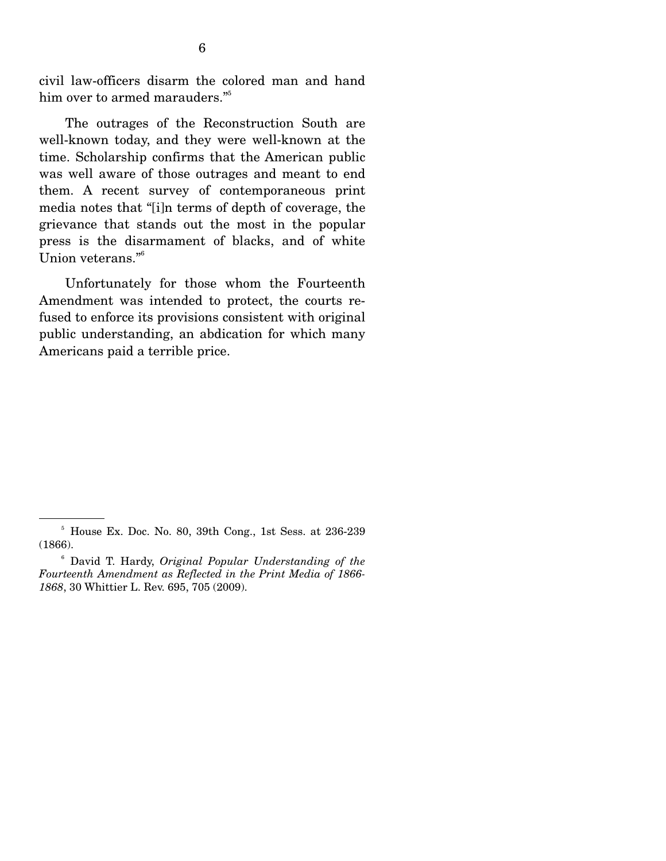civil law-officers disarm the colored man and hand him over to armed marauders."<sup>5</sup>

 The outrages of the Reconstruction South are well-known today, and they were well-known at the time. Scholarship confirms that the American public was well aware of those outrages and meant to end them. A recent survey of contemporaneous print media notes that "[i]n terms of depth of coverage, the grievance that stands out the most in the popular press is the disarmament of blacks, and of white Union veterans."<sup>6</sup>

 Unfortunately for those whom the Fourteenth Amendment was intended to protect, the courts refused to enforce its provisions consistent with original public understanding, an abdication for which many Americans paid a terrible price.

<sup>5</sup> House Ex. Doc. No. 80, 39th Cong., 1st Sess. at 236-239 (1866).

<sup>6</sup> David T. Hardy, *Original Popular Understanding of the Fourteenth Amendment as Reflected in the Print Media of 1866- 1868*, 30 Whittier L. Rev. 695, 705 (2009).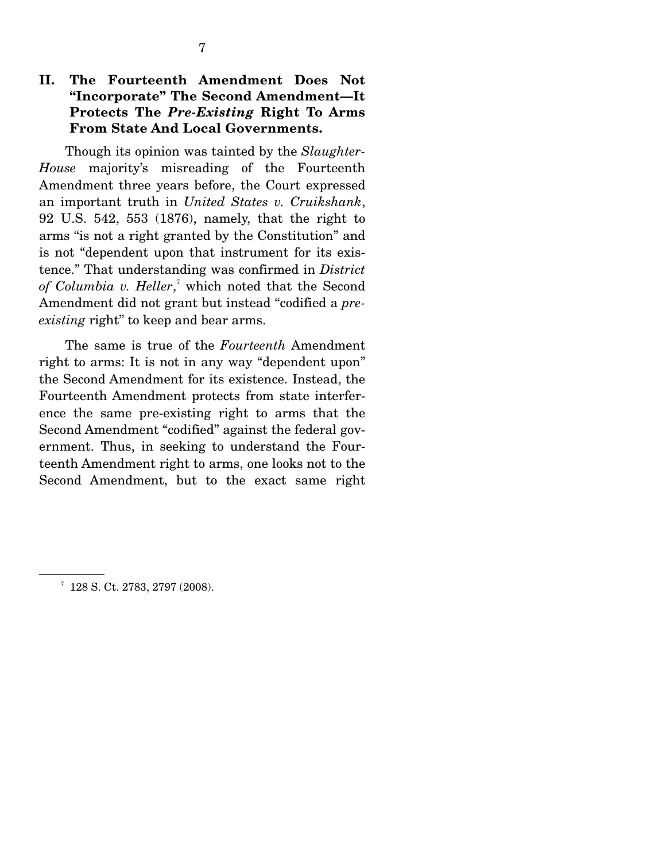## **II. The Fourteenth Amendment Does Not "Incorporate" The Second Amendment—It Protects The** *Pre-Existing* **Right To Arms From State And Local Governments.**

Though its opinion was tainted by the *Slaughter-House* majority's misreading of the Fourteenth Amendment three years before, the Court expressed an important truth in *United States v. Cruikshank*, 92 U.S. 542, 553 (1876), namely, that the right to arms "is not a right granted by the Constitution" and is not "dependent upon that instrument for its existence." That understanding was confirmed in *District*  of Columbia v. Heller,<sup>7</sup> which noted that the Second Amendment did not grant but instead "codified a *preexisting* right" to keep and bear arms.

 The same is true of the *Fourteenth* Amendment right to arms: It is not in any way "dependent upon" the Second Amendment for its existence. Instead, the Fourteenth Amendment protects from state interference the same pre-existing right to arms that the Second Amendment "codified" against the federal government. Thus, in seeking to understand the Fourteenth Amendment right to arms, one looks not to the Second Amendment, but to the exact same right

<sup>&</sup>lt;sup>7</sup> 128 S. Ct. 2783, 2797 (2008).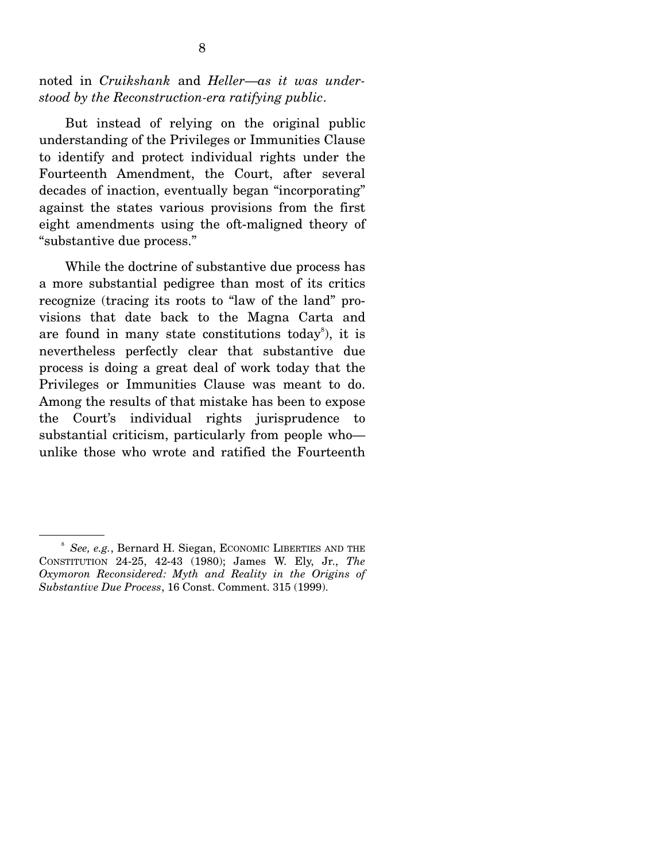noted in *Cruikshank* and *Heller*—*as it was understood by the Reconstruction-era ratifying public*.

 But instead of relying on the original public understanding of the Privileges or Immunities Clause to identify and protect individual rights under the Fourteenth Amendment, the Court, after several decades of inaction, eventually began "incorporating" against the states various provisions from the first eight amendments using the oft-maligned theory of "substantive due process."

 While the doctrine of substantive due process has a more substantial pedigree than most of its critics recognize (tracing its roots to "law of the land" provisions that date back to the Magna Carta and are found in many state constitutions today<sup>8</sup>), it is nevertheless perfectly clear that substantive due process is doing a great deal of work today that the Privileges or Immunities Clause was meant to do. Among the results of that mistake has been to expose the Court's individual rights jurisprudence to substantial criticism, particularly from people who unlike those who wrote and ratified the Fourteenth

<sup>8</sup> *See, e.g.*, Bernard H. Siegan, ECONOMIC LIBERTIES AND THE CONSTITUTION 24-25, 42-43 (1980); James W. Ely, Jr., *The Oxymoron Reconsidered: Myth and Reality in the Origins of Substantive Due Process*, 16 Const. Comment. 315 (1999).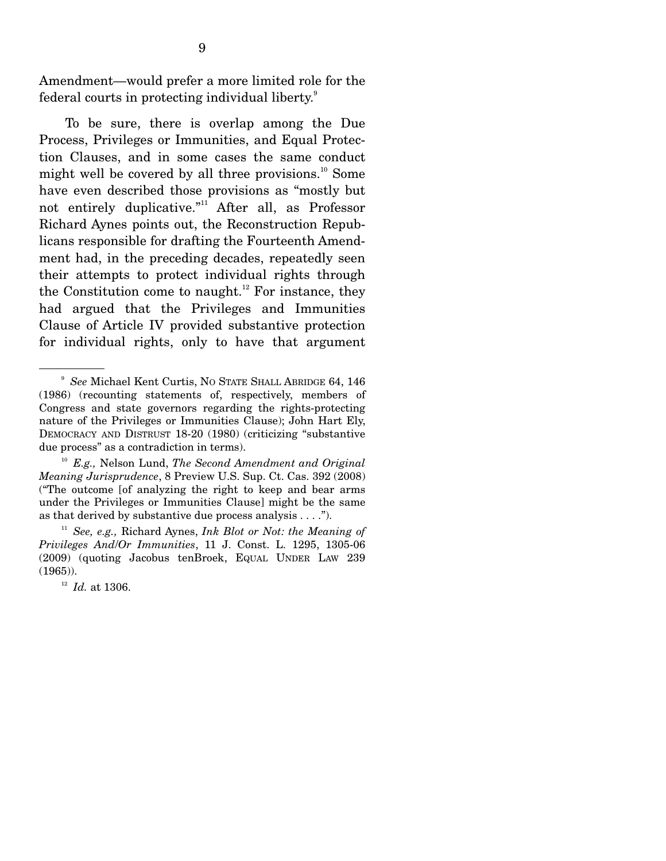Amendment—would prefer a more limited role for the federal courts in protecting individual liberty. $^9$ 

 To be sure, there is overlap among the Due Process, Privileges or Immunities, and Equal Protection Clauses, and in some cases the same conduct might well be covered by all three provisions. $^{10}$  Some have even described those provisions as "mostly but not entirely duplicative."<sup>11</sup> After all, as Professor Richard Aynes points out, the Reconstruction Republicans responsible for drafting the Fourteenth Amendment had, in the preceding decades, repeatedly seen their attempts to protect individual rights through the Constitution come to naught.<sup>12</sup> For instance, they had argued that the Privileges and Immunities Clause of Article IV provided substantive protection for individual rights, only to have that argument

<sup>9</sup> *See* Michael Kent Curtis, NO STATE SHALL ABRIDGE 64, 146 (1986) (recounting statements of, respectively, members of Congress and state governors regarding the rights-protecting nature of the Privileges or Immunities Clause); John Hart Ely, DEMOCRACY AND DISTRUST 18-20 (1980) (criticizing "substantive due process" as a contradiction in terms).

<sup>10</sup> *E.g.,* Nelson Lund, *The Second Amendment and Original Meaning Jurisprudence*, 8 Preview U.S. Sup. Ct. Cas. 392 (2008) ("The outcome [of analyzing the right to keep and bear arms under the Privileges or Immunities Clause] might be the same as that derived by substantive due process analysis  $\dots$ .").

<sup>11</sup> *See, e.g.,* Richard Aynes, *Ink Blot or Not: the Meaning of Privileges And*/*Or Immunities*, 11 J. Const. L. 1295, 1305-06 (2009) (quoting Jacobus tenBroek, EQUAL UNDER LAW 239  $(1965)$ ).

<sup>12</sup> *Id.* at 1306.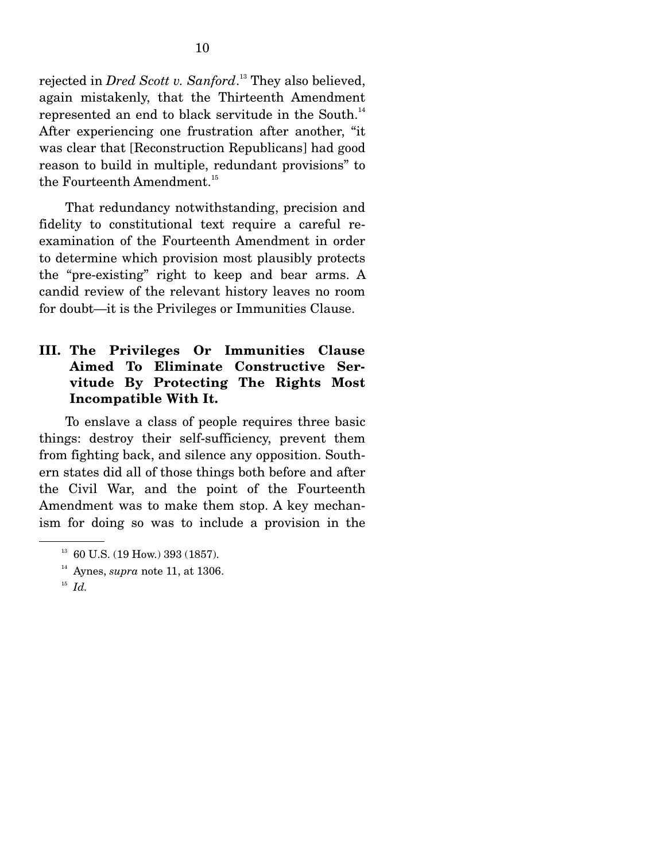rejected in *Dred Scott v. Sanford*. 13 They also believed, again mistakenly, that the Thirteenth Amendment represented an end to black servitude in the South.<sup>14</sup> After experiencing one frustration after another, "it was clear that [Reconstruction Republicans] had good reason to build in multiple, redundant provisions" to the Fourteenth Amendment.<sup>15</sup>

 That redundancy notwithstanding, precision and fidelity to constitutional text require a careful reexamination of the Fourteenth Amendment in order to determine which provision most plausibly protects the "pre-existing" right to keep and bear arms. A candid review of the relevant history leaves no room for doubt—it is the Privileges or Immunities Clause.

### **III. The Privileges Or Immunities Clause Aimed To Eliminate Constructive Servitude By Protecting The Rights Most Incompatible With It.**

To enslave a class of people requires three basic things: destroy their self-sufficiency, prevent them from fighting back, and silence any opposition. Southern states did all of those things both before and after the Civil War, and the point of the Fourteenth Amendment was to make them stop. A key mechanism for doing so was to include a provision in the

 $13$  60 U.S. (19 How.) 393 (1857).

<sup>&</sup>lt;sup>14</sup> Aynes, *supra* note 11, at 1306.<br><sup>15</sup> *Id.*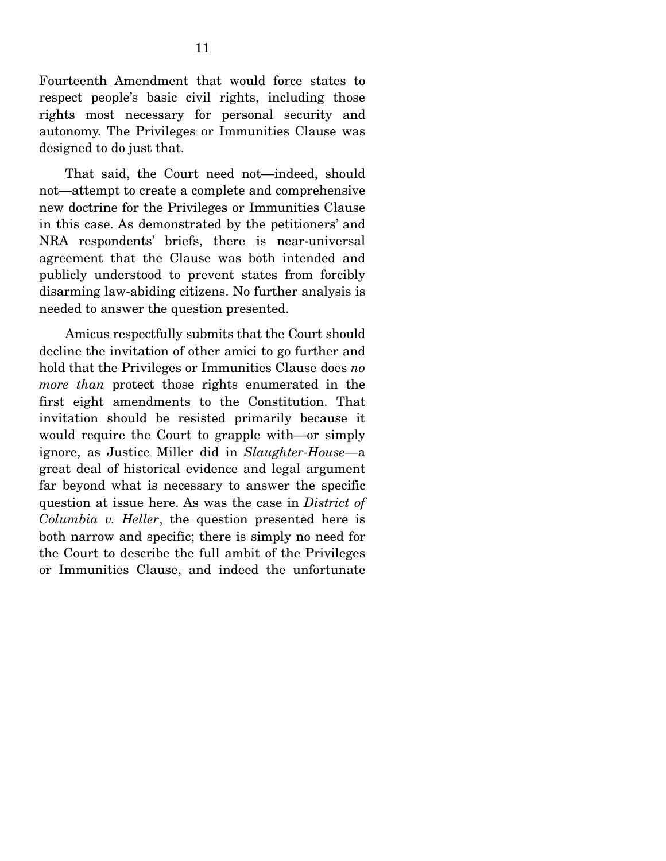Fourteenth Amendment that would force states to respect people's basic civil rights, including those rights most necessary for personal security and autonomy. The Privileges or Immunities Clause was designed to do just that.

 That said, the Court need not—indeed, should not—attempt to create a complete and comprehensive new doctrine for the Privileges or Immunities Clause in this case. As demonstrated by the petitioners' and NRA respondents' briefs, there is near-universal agreement that the Clause was both intended and publicly understood to prevent states from forcibly disarming law-abiding citizens. No further analysis is needed to answer the question presented.

 Amicus respectfully submits that the Court should decline the invitation of other amici to go further and hold that the Privileges or Immunities Clause does *no more than* protect those rights enumerated in the first eight amendments to the Constitution. That invitation should be resisted primarily because it would require the Court to grapple with—or simply ignore, as Justice Miller did in *Slaughter-House—*a great deal of historical evidence and legal argument far beyond what is necessary to answer the specific question at issue here. As was the case in *District of Columbia v. Heller*, the question presented here is both narrow and specific; there is simply no need for the Court to describe the full ambit of the Privileges or Immunities Clause, and indeed the unfortunate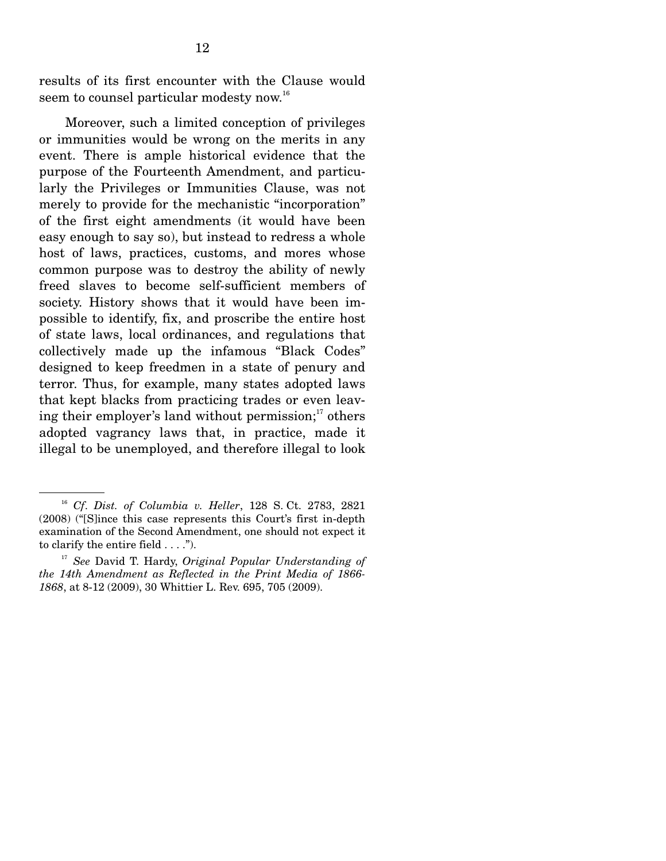results of its first encounter with the Clause would seem to counsel particular modesty now.<sup>16</sup>

 Moreover, such a limited conception of privileges or immunities would be wrong on the merits in any event. There is ample historical evidence that the purpose of the Fourteenth Amendment, and particularly the Privileges or Immunities Clause, was not merely to provide for the mechanistic "incorporation" of the first eight amendments (it would have been easy enough to say so), but instead to redress a whole host of laws, practices, customs, and mores whose common purpose was to destroy the ability of newly freed slaves to become self-sufficient members of society. History shows that it would have been impossible to identify, fix, and proscribe the entire host of state laws, local ordinances, and regulations that collectively made up the infamous "Black Codes" designed to keep freedmen in a state of penury and terror. Thus, for example, many states adopted laws that kept blacks from practicing trades or even leaving their employer's land without permission; $\frac{17}{17}$  others adopted vagrancy laws that, in practice, made it illegal to be unemployed, and therefore illegal to look

<sup>16</sup> *Cf*. *Dist. of Columbia v. Heller*, 128 S. Ct. 2783, 2821 (2008) ("[S]ince this case represents this Court's first in-depth examination of the Second Amendment, one should not expect it to clarify the entire field . . . .").

<sup>17</sup> *See* David T. Hardy, *Original Popular Understanding of the 14th Amendment as Reflected in the Print Media of 1866- 1868*, at 8-12 (2009), 30 Whittier L. Rev. 695, 705 (2009).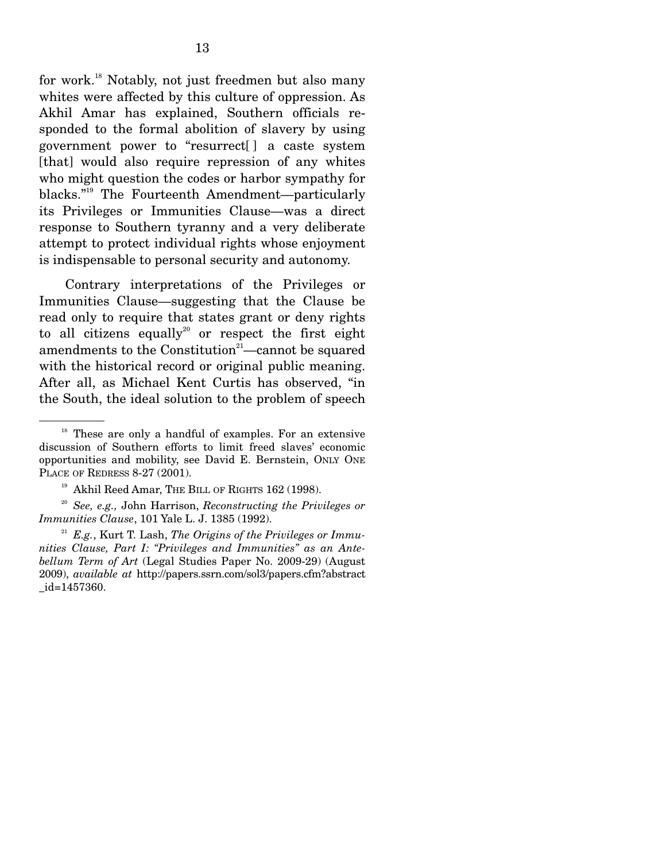for work.18 Notably, not just freedmen but also many whites were affected by this culture of oppression. As Akhil Amar has explained, Southern officials responded to the formal abolition of slavery by using government power to "resurrect[ ] a caste system [that] would also require repression of any whites who might question the codes or harbor sympathy for blacks."19 The Fourteenth Amendment—particularly its Privileges or Immunities Clause—was a direct response to Southern tyranny and a very deliberate attempt to protect individual rights whose enjoyment is indispensable to personal security and autonomy.

 Contrary interpretations of the Privileges or Immunities Clause—suggesting that the Clause be read only to require that states grant or deny rights to all citizens equally<sup>20</sup> or respect the first eight amendments to the Constitution $21$ —cannot be squared with the historical record or original public meaning. After all, as Michael Kent Curtis has observed, "in the South, the ideal solution to the problem of speech

<sup>&</sup>lt;sup>18</sup> These are only a handful of examples. For an extensive discussion of Southern efforts to limit freed slaves' economic opportunities and mobility, see David E. Bernstein, ONLY ONE PLACE OF REDRESS 8-27 (2001).

 $19$  Akhil Reed Amar, THE BILL OF RIGHTS 162 (1998).

<sup>20</sup> *See, e.g.,* John Harrison, *Reconstructing the Privileges or Immunities Clause*, 101 Yale L. J. 1385 (1992).

<sup>21</sup> *E.g.*, Kurt T. Lash, *The Origins of the Privileges or Immunities Clause, Part I: "Privileges and Immunities" as an Antebellum Term of Art* (Legal Studies Paper No. 2009-29) (August 2009), *available at* http://papers.ssrn.com/sol3/papers.cfm?abstract \_id=1457360.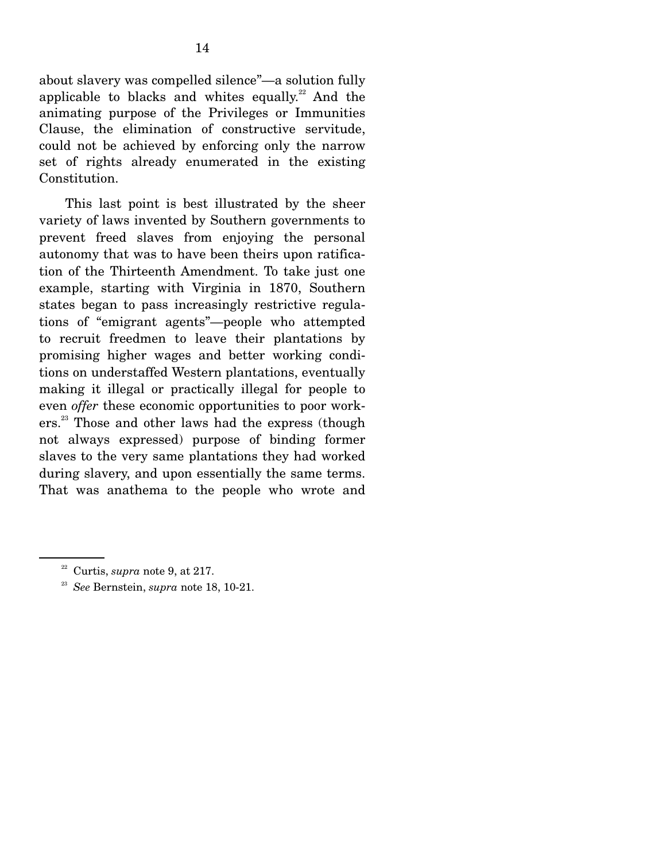about slavery was compelled silence"—a solution fully applicable to blacks and whites equally. $22$  And the animating purpose of the Privileges or Immunities Clause, the elimination of constructive servitude, could not be achieved by enforcing only the narrow set of rights already enumerated in the existing Constitution.

 This last point is best illustrated by the sheer variety of laws invented by Southern governments to prevent freed slaves from enjoying the personal autonomy that was to have been theirs upon ratification of the Thirteenth Amendment. To take just one example, starting with Virginia in 1870, Southern states began to pass increasingly restrictive regulations of "emigrant agents"—people who attempted to recruit freedmen to leave their plantations by promising higher wages and better working conditions on understaffed Western plantations, eventually making it illegal or practically illegal for people to even *offer* these economic opportunities to poor workers.23 Those and other laws had the express (though not always expressed) purpose of binding former slaves to the very same plantations they had worked during slavery, and upon essentially the same terms. That was anathema to the people who wrote and

<sup>22</sup> Curtis, *supra* note 9, at 217. 23 *See* Bernstein, *supra* note 18, 10-21.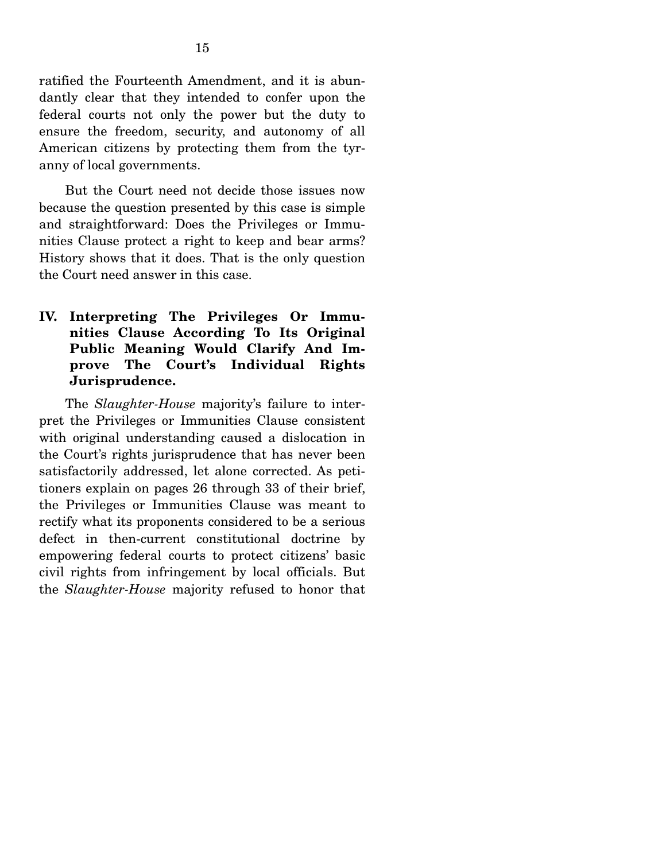ratified the Fourteenth Amendment, and it is abundantly clear that they intended to confer upon the federal courts not only the power but the duty to ensure the freedom, security, and autonomy of all American citizens by protecting them from the tyranny of local governments.

 But the Court need not decide those issues now because the question presented by this case is simple and straightforward: Does the Privileges or Immunities Clause protect a right to keep and bear arms? History shows that it does. That is the only question the Court need answer in this case.

**IV. Interpreting The Privileges Or Immunities Clause According To Its Original Public Meaning Would Clarify And Improve The Court's Individual Rights Jurisprudence.** 

 The *Slaughter-House* majority's failure to interpret the Privileges or Immunities Clause consistent with original understanding caused a dislocation in the Court's rights jurisprudence that has never been satisfactorily addressed, let alone corrected. As petitioners explain on pages 26 through 33 of their brief, the Privileges or Immunities Clause was meant to rectify what its proponents considered to be a serious defect in then-current constitutional doctrine by empowering federal courts to protect citizens' basic civil rights from infringement by local officials. But the *Slaughter-House* majority refused to honor that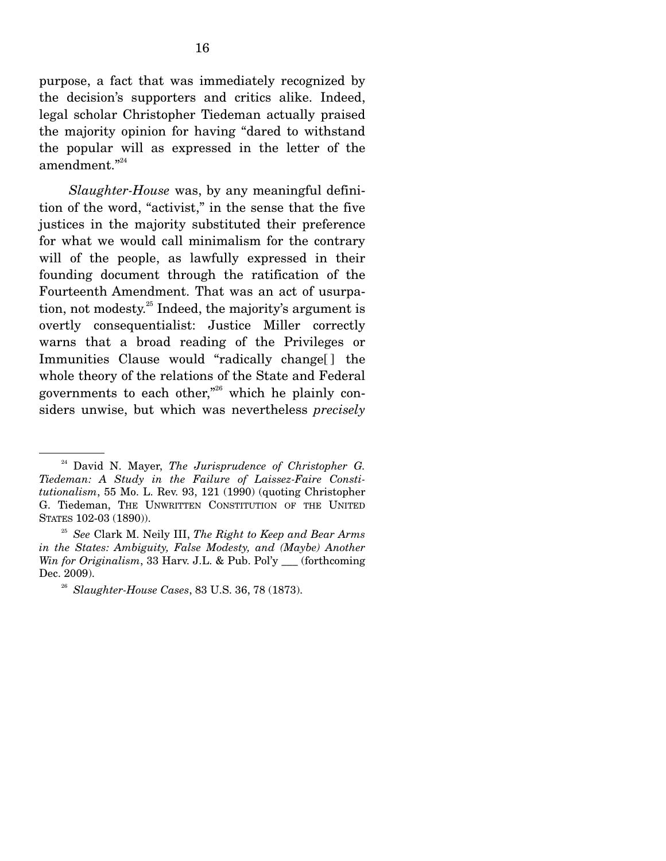purpose, a fact that was immediately recognized by the decision's supporters and critics alike. Indeed, legal scholar Christopher Tiedeman actually praised the majority opinion for having "dared to withstand the popular will as expressed in the letter of the amendment."<sup>24</sup>

 *Slaughter-House* was, by any meaningful definition of the word, "activist," in the sense that the five justices in the majority substituted their preference for what we would call minimalism for the contrary will of the people, as lawfully expressed in their founding document through the ratification of the Fourteenth Amendment. That was an act of usurpation, not modesty.<sup>25</sup> Indeed, the majority's argument is overtly consequentialist: Justice Miller correctly warns that a broad reading of the Privileges or Immunities Clause would "radically change[ ] the whole theory of the relations of the State and Federal governments to each other,"26 which he plainly considers unwise, but which was nevertheless *precisely*

<sup>24</sup> David N. Mayer, *The Jurisprudence of Christopher G. Tiedeman: A Study in the Failure of Laissez-Faire Constitutionalism*, 55 Mo. L. Rev. 93, 121 (1990) (quoting Christopher G. Tiedeman, THE UNWRITTEN CONSTITUTION OF THE UNITED STATES 102-03 (1890)). 25 *See* Clark M. Neily III, *The Right to Keep and Bear Arms* 

*in the States: Ambiguity, False Modesty, and (Maybe) Another Win for Originalism*, 33 Harv. J.L. & Pub. Pol'y \_\_\_ (forthcoming Dec. 2009).

<sup>26</sup> *Slaughter-House Cases*, 83 U.S. 36, 78 (1873).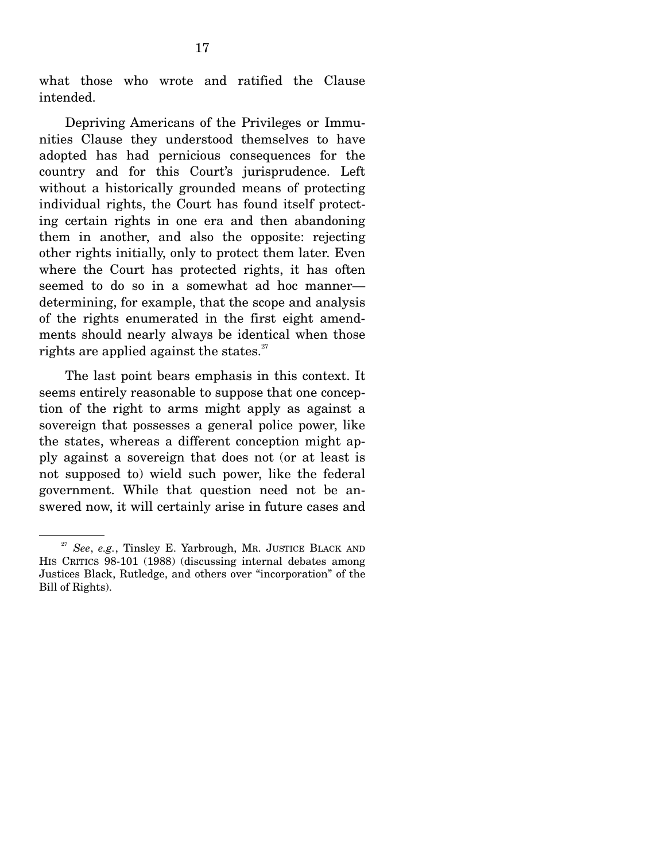what those who wrote and ratified the Clause intended.

 Depriving Americans of the Privileges or Immunities Clause they understood themselves to have adopted has had pernicious consequences for the country and for this Court's jurisprudence. Left without a historically grounded means of protecting individual rights, the Court has found itself protecting certain rights in one era and then abandoning them in another, and also the opposite: rejecting other rights initially, only to protect them later. Even where the Court has protected rights, it has often seemed to do so in a somewhat ad hoc manner determining, for example, that the scope and analysis of the rights enumerated in the first eight amendments should nearly always be identical when those rights are applied against the states. $27$ 

 The last point bears emphasis in this context. It seems entirely reasonable to suppose that one conception of the right to arms might apply as against a sovereign that possesses a general police power, like the states, whereas a different conception might apply against a sovereign that does not (or at least is not supposed to) wield such power, like the federal government. While that question need not be answered now, it will certainly arise in future cases and

<sup>27</sup> *See*, *e.g.*, Tinsley E. Yarbrough, MR. JUSTICE BLACK AND HIS CRITICS 98-101 (1988) (discussing internal debates among Justices Black, Rutledge, and others over "incorporation" of the Bill of Rights).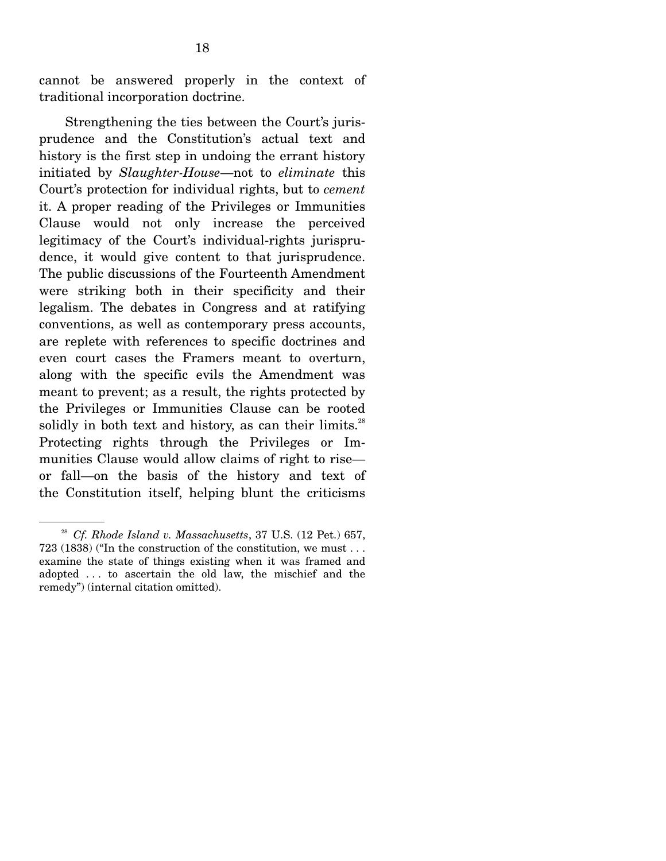cannot be answered properly in the context of traditional incorporation doctrine.

 Strengthening the ties between the Court's jurisprudence and the Constitution's actual text and history is the first step in undoing the errant history initiated by *Slaughter-House*—not to *eliminate* this Court's protection for individual rights, but to *cement*  it. A proper reading of the Privileges or Immunities Clause would not only increase the perceived legitimacy of the Court's individual-rights jurisprudence, it would give content to that jurisprudence. The public discussions of the Fourteenth Amendment were striking both in their specificity and their legalism. The debates in Congress and at ratifying conventions, as well as contemporary press accounts, are replete with references to specific doctrines and even court cases the Framers meant to overturn, along with the specific evils the Amendment was meant to prevent; as a result, the rights protected by the Privileges or Immunities Clause can be rooted solidly in both text and history, as can their limits. $28$ Protecting rights through the Privileges or Immunities Clause would allow claims of right to rise or fall—on the basis of the history and text of the Constitution itself, helping blunt the criticisms

<sup>28</sup> *Cf. Rhode Island v. Massachusetts*, 37 U.S. (12 Pet.) 657, 723 (1838) ("In the construction of the constitution, we must . . . examine the state of things existing when it was framed and adopted . . . to ascertain the old law, the mischief and the remedy") (internal citation omitted).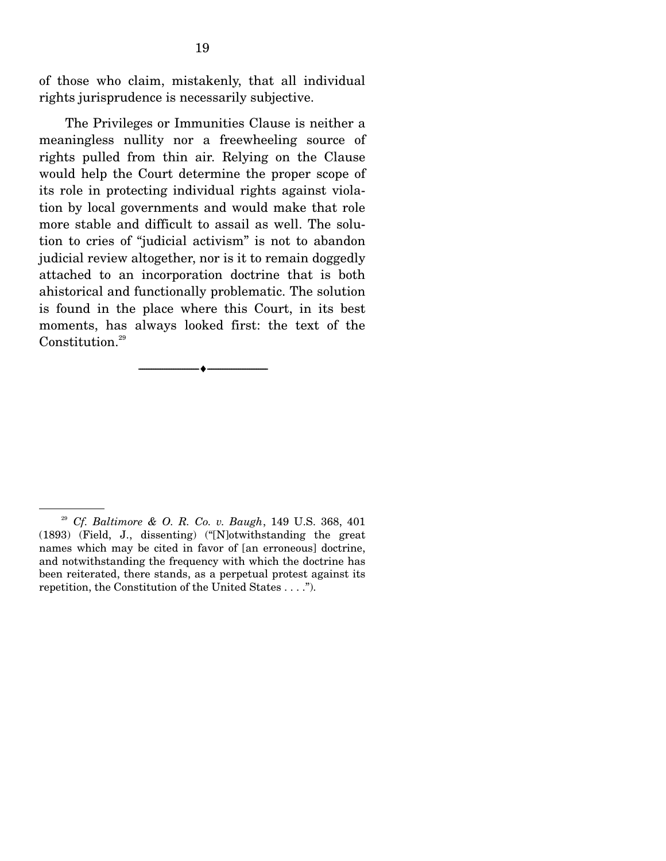of those who claim, mistakenly, that all individual rights jurisprudence is necessarily subjective.

 The Privileges or Immunities Clause is neither a meaningless nullity nor a freewheeling source of rights pulled from thin air. Relying on the Clause would help the Court determine the proper scope of its role in protecting individual rights against violation by local governments and would make that role more stable and difficult to assail as well. The solution to cries of "judicial activism" is not to abandon judicial review altogether, nor is it to remain doggedly attached to an incorporation doctrine that is both ahistorical and functionally problematic. The solution is found in the place where this Court, in its best moments, has always looked first: the text of the Constitution.<sup>29</sup>

--------------------------------- ♦ ---------------------------------

<sup>29</sup> *Cf. Baltimore & O. R. Co. v. Baugh*, 149 U.S. 368, 401 (1893) (Field, J., dissenting) ("[N]otwithstanding the great names which may be cited in favor of [an erroneous] doctrine, and notwithstanding the frequency with which the doctrine has been reiterated, there stands, as a perpetual protest against its repetition, the Constitution of the United States . . . .").